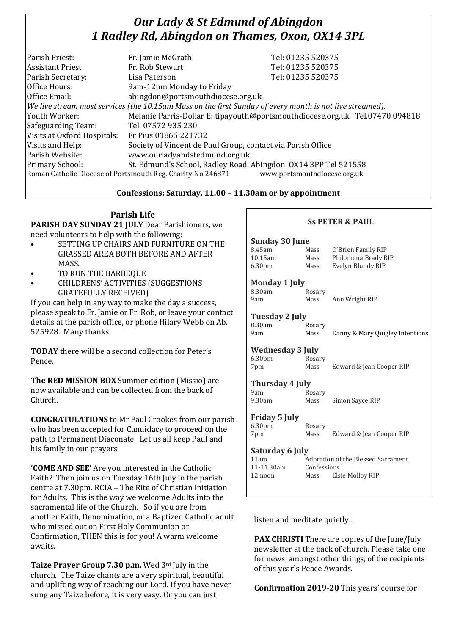# *Our Lady & St Edmund of Abingdon 1 Radley Rd, Abingdon on Thames, Oxon, OX14 3PL*

|                                                                                                          | Tel: 01235 520375                                                            |  |
|----------------------------------------------------------------------------------------------------------|------------------------------------------------------------------------------|--|
|                                                                                                          |                                                                              |  |
|                                                                                                          | Tel: 01235 520375                                                            |  |
| Lisa Paterson                                                                                            | Tel: 01235 520375                                                            |  |
| 9am-12pm Monday to Friday                                                                                |                                                                              |  |
| abingdon@portsmouthdiocese.org.uk                                                                        |                                                                              |  |
| We live stream most services (the 10.15am Mass on the first Sunday of every month is not live streamed). |                                                                              |  |
|                                                                                                          | Melanie Parris-Dollar E: tipayouth@portsmouthdiocese.org.uk Tel.07470 094818 |  |
| Tel. 07572 935 230                                                                                       |                                                                              |  |
| Fr Pius 01865 221732                                                                                     |                                                                              |  |
| Society of Vincent de Paul Group, contact via Parish Office                                              |                                                                              |  |
| www.ourladyandstedmund.org.uk                                                                            |                                                                              |  |
| St. Edmund's School, Radley Road, Abingdon, OX14 3PP Tel 521558                                          |                                                                              |  |
| www.portsmouthdiocese.org.uk<br>Roman Catholic Diocese of Portsmouth Reg. Charity No 246871              |                                                                              |  |
|                                                                                                          | Fr. Jamie McGrath<br>Fr. Rob Stewart                                         |  |

## **Confessions: Saturday, 11.00 – 11.30am or by appointment**

# **Parish Life**

**PARISH DAY SUNDAY 21 JULY** Dear Parishioners, we need volunteers to help with the following:

- SETTING UP CHAIRS AND FURNITURE ON THE GRASSED AREA BOTH BEFORE AND AFTER MASS.
- TO RUN THE BARBEQUE
- CHILDRENS' ACTIVITIES (SUGGESTIONS GRATEFULLY RECEIVED)

If you can help in any way to make the day a success, please speak to Fr. Jamie or Fr. Rob, or leave your contact details at the parish office, or phone Hilary Webb on Ab. 525928. Many thanks.

**TODAY** there will be a second collection for Peter's Pence.

**The RED MISSION BOX** Summer edition (Missio) are now available and can be collected from the back of Church.

**CONGRATULATIONS** to Mr Paul Crookes from our parish who has been accepted for Candidacy to proceed on the path to Permanent Diaconate. Let us all keep Paul and his family in our prayers.

**'COME AND SEE'** Are you interested in the Catholic Faith? Then join us on Tuesday 16th July in the parish centre at 7.30pm. RCIA – The Rite of Christian Initiation for Adults. This is the way we welcome Adults into the sacramental life of the Church. So if you are from another Faith, Denomination, or a Baptized Catholic adult who missed out on First Holy Communion or Confirmation, THEN this is for you! A warm welcome awaits.

**Taize Prayer Group 7.30 p.m.** Wed 3rd July in the church. The Taize chants are a very spiritual, beautiful and uplifting way of reaching our Lord. If you have never sung any Taize before, it is very easy. Or you can just

| <b>SS PETER &amp; PAUL</b> |                                           |                                 |
|----------------------------|-------------------------------------------|---------------------------------|
| Sunday 30 June             |                                           |                                 |
| 8.45am                     | Mass                                      | O'Brien Family RIP              |
| 10.15am                    | Mass                                      | Philomena Brady RIP             |
| 6.30 <sub>pm</sub>         | Mass                                      | Evelyn Blundy RIP               |
| <b>Monday 1 July</b>       |                                           |                                 |
| 8.30am                     | Rosary                                    |                                 |
| 9am                        | Mass                                      | Ann Wright RIP                  |
| Tuesday 2 July             |                                           |                                 |
| 8.30am                     | Rosary                                    |                                 |
| 9am                        | Mass                                      | Danny & Mary Quigley Intentions |
| <b>Wednesday 3 July</b>    |                                           |                                 |
| 6.30 <sub>pm</sub>         | Rosary                                    |                                 |
| 7pm                        | Mass                                      | Edward & Jean Cooper RIP        |
| <b>Thursday 4 July</b>     |                                           |                                 |
| 9am                        | Rosary                                    |                                 |
| 9.30am                     | Mass                                      | Simon Sayce RIP                 |
| Friday 5 July              |                                           |                                 |
| 6.30 <sub>pm</sub>         | Rosary                                    |                                 |
| 7pm                        | Mass                                      | Edward & Jean Cooper RIP        |
| Saturday 6 July            |                                           |                                 |
| 11am                       | <b>Adoration of the Blessed Sacrament</b> |                                 |
| 11-11.30am                 | Confessions                               |                                 |
| 12 noon                    | Mass                                      | Elsie Molloy RIP                |
|                            |                                           |                                 |

listen and meditate quietly...

**PAX CHRISTI** There are copies of the June/July newsletter at the back of church. Please take one for news, amongst other things, of the recipients of this year`s Peace Awards.

**Confirmation 2019-20** This years' course for